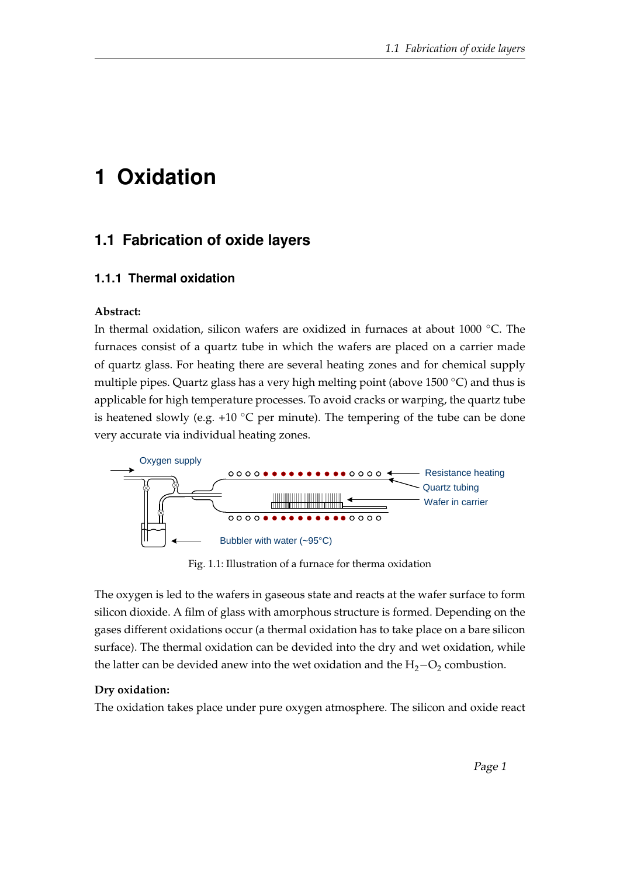# **1 Oxidation**

## **1.1 Fabrication of oxide layers**

#### **1.1.1 Thermal oxidation**

#### **Abstract:**

In thermal oxidation, silicon wafers are oxidized in furnaces at about 1000 ◦C. The furnaces consist of a quartz tube in which the wafers are placed on a carrier made of quartz glass. For heating there are several heating zones and for chemical supply multiple pipes. Quartz glass has a very high melting point (above 1500 ◦C) and thus is applicable for high temperature processes. To avoid cracks or warping, the quartz tube is heatened slowly (e.g. +10  $\degree$ C per minute). The tempering of the tube can be done very accurate via individual heating zones.



Fig. 1.1: Illustration of a furnace for therma oxidation

The oxygen is led to the wafers in gaseous state and reacts at the wafer surface to form silicon dioxide. A film of glass with amorphous structure is formed. Depending on the gases different oxidations occur (a thermal oxidation has to take place on a bare silicon surface). The thermal oxidation can be devided into the dry and wet oxidation, while the latter can be devided anew into the wet oxidation and the  $H_2-O_2$  combustion.

#### **Dry oxidation:**

The oxidation takes place under pure oxygen atmosphere. The silicon and oxide react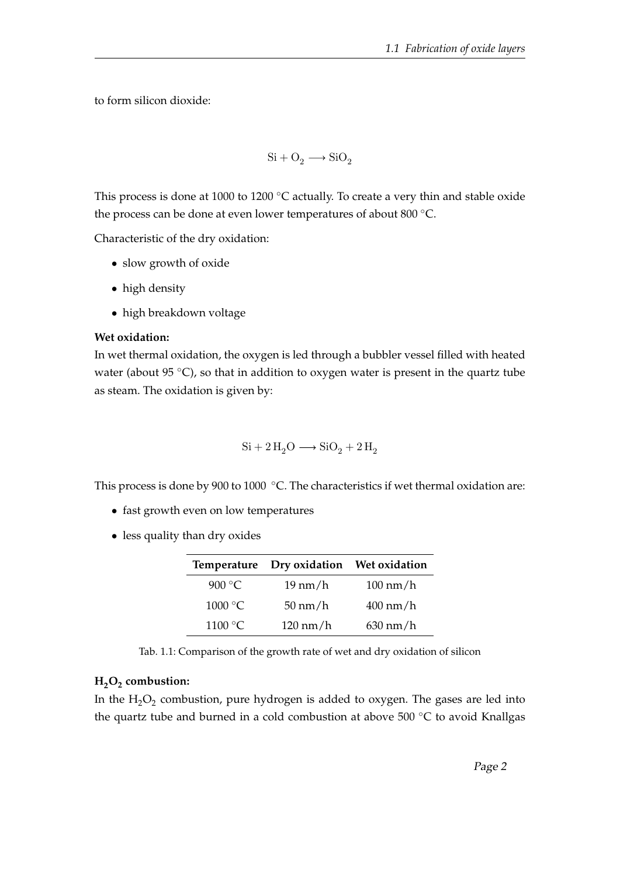to form silicon dioxide:

$$
\rm Si + O_2 \longrightarrow SiO_2
$$

This process is done at 1000 to 1200 ℃ actually. To create a very thin and stable oxide the process can be done at even lower temperatures of about 800 ◦C.

Characteristic of the dry oxidation:

- slow growth of oxide
- high density
- high breakdown voltage

#### **Wet oxidation:**

In wet thermal oxidation, the oxygen is led through a bubbler vessel filled with heated water (about 95 $\degree$ C), so that in addition to oxygen water is present in the quartz tube as steam. The oxidation is given by:

$$
\mathrm{Si} + 2\,\mathrm{H}_2\mathrm{O} \longrightarrow \mathrm{SiO}_2 + 2\,\mathrm{H}_2
$$

This process is done by 900 to 1000 ℃. The characteristics if wet thermal oxidation are:

- fast growth even on low temperatures
- less quality than dry oxides

|                   | Temperature Dry oxidation Wet oxidation |                    |
|-------------------|-----------------------------------------|--------------------|
| 900 $\degree$ C   | $19 \text{ nm/h}$                       | $100 \text{ nm/h}$ |
| $1000\text{ °C}$  | $50 \text{ nm/h}$                       | $400 \text{ nm/h}$ |
| 1100 $^{\circ}$ C | $120 \text{ nm/h}$                      | $630 \text{ nm/h}$ |

Tab. 1.1: Comparison of the growth rate of wet and dry oxidation of silicon

## **H2O<sup>2</sup> combustion:**

In the  $\rm H_2O_2$  combustion, pure hydrogen is added to oxygen. The gases are led into the quartz tube and burned in a cold combustion at above 500 ◦C to avoid Knallgas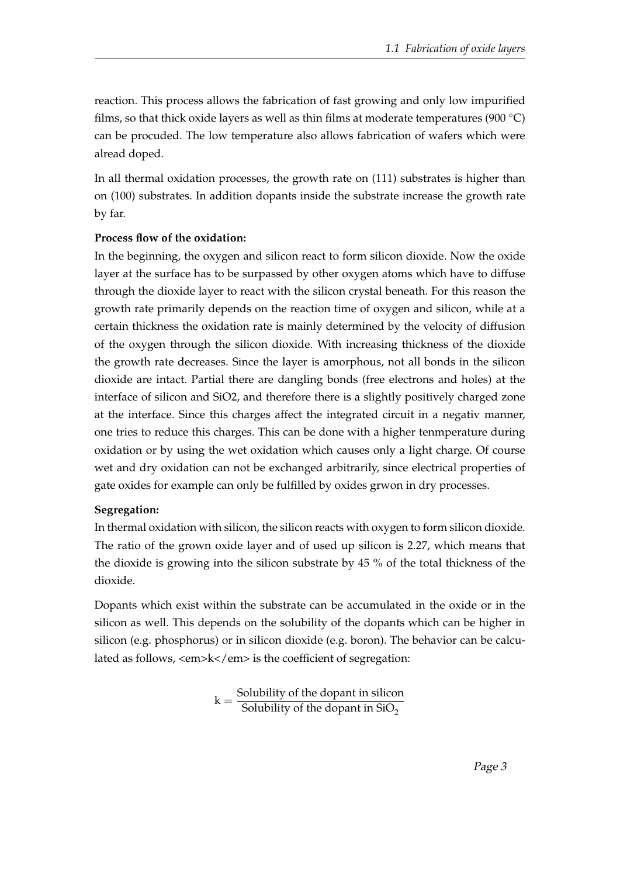reaction. This process allows the fabrication of fast growing and only low impurified films, so that thick oxide layers as well as thin films at moderate temperatures (900  $\degree$ C) can be procuded. The low temperature also allows fabrication of wafers which were alread doped.

In all thermal oxidation processes, the growth rate on (111) substrates is higher than on (100) substrates. In addition dopants inside the substrate increase the growth rate by far.

#### **Process flow of the oxidation:**

In the beginning, the oxygen and silicon react to form silicon dioxide. Now the oxide layer at the surface has to be surpassed by other oxygen atoms which have to diffuse through the dioxide layer to react with the silicon crystal beneath. For this reason the growth rate primarily depends on the reaction time of oxygen and silicon, while at a certain thickness the oxidation rate is mainly determined by the velocity of diffusion of the oxygen through the silicon dioxide. With increasing thickness of the dioxide the growth rate decreases. Since the layer is amorphous, not all bonds in the silicon dioxide are intact. Partial there are dangling bonds (free electrons and holes) at the interface of silicon and SiO2, and therefore there is a slightly positively charged zone at the interface. Since this charges affect the integrated circuit in a negativ manner, one tries to reduce this charges. This can be done with a higher tenmperature during oxidation or by using the wet oxidation which causes only a light charge. Of course wet and dry oxidation can not be exchanged arbitrarily, since electrical properties of gate oxides for example can only be fulfilled by oxides grwon in dry processes.

#### **Segregation:**

In thermal oxidation with silicon, the silicon reacts with oxygen to form silicon dioxide. The ratio of the grown oxide layer and of used up silicon is 2.27, which means that the dioxide is growing into the silicon substrate by 45 % of the total thickness of the dioxide.

Dopants which exist within the substrate can be accumulated in the oxide or in the silicon as well. This depends on the solubility of the dopants which can be higher in silicon (e.g. phosphorus) or in silicon dioxide (e.g. boron). The behavior can be calculated as follows, <em>k</em> is the coefficient of segregation:

$$
k = \frac{Solubility of the dopant in silicon}{Solubility of the dopant in SiO2}
$$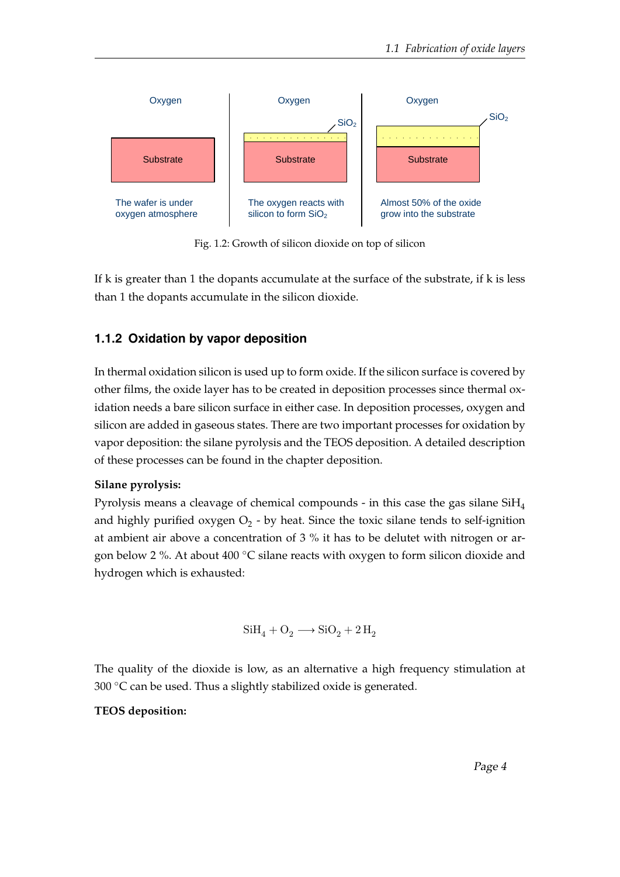

Fig. 1.2: Growth of silicon dioxide on top of silicon

If k is greater than 1 the dopants accumulate at the surface of the substrate, if k is less than 1 the dopants accumulate in the silicon dioxide.

## **1.1.2 Oxidation by vapor deposition**

In thermal oxidation silicon is used up to form oxide. If the silicon surface is covered by other films, the oxide layer has to be created in deposition processes since thermal oxidation needs a bare silicon surface in either case. In deposition processes, oxygen and silicon are added in gaseous states. There are two important processes for oxidation by vapor deposition: the silane pyrolysis and the TEOS deposition. A detailed description of these processes can be found in the chapter deposition.

## **Silane pyrolysis:**

Pyrolysis means a cleavage of chemical compounds - in this case the gas silane SiH<sup>4</sup> and highly purified oxygen  $\mathrm{O}_2$  - by heat. Since the toxic silane tends to self-ignition at ambient air above a concentration of 3 % it has to be delutet with nitrogen or argon below 2 %. At about 400 ◦C silane reacts with oxygen to form silicon dioxide and hydrogen which is exhausted:

$$
\textrm{SiH}_4 + \textrm{O}_2 \longrightarrow \textrm{SiO}_2 + 2 \,\textrm{H}_2
$$

The quality of the dioxide is low, as an alternative a high frequency stimulation at 300  $\degree$ C can be used. Thus a slightly stabilized oxide is generated.

## **TEOS deposition:**